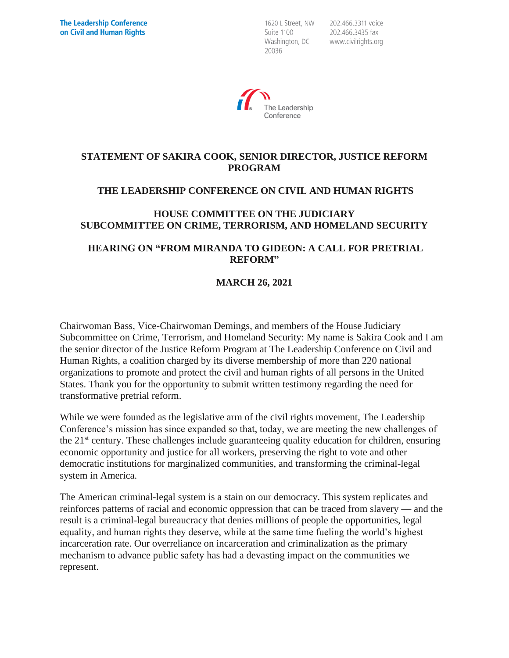1620 L Street, NW Suite 1100 Washington, DC 20036

202.466.3311 voice 202.466.3435 fax www.civilrights.org



### **STATEMENT OF SAKIRA COOK, SENIOR DIRECTOR, JUSTICE REFORM PROGRAM**

# **THE LEADERSHIP CONFERENCE ON CIVIL AND HUMAN RIGHTS**

### **HOUSE COMMITTEE ON THE JUDICIARY SUBCOMMITTEE ON CRIME, TERRORISM, AND HOMELAND SECURITY**

### **HEARING ON "FROM MIRANDA TO GIDEON: A CALL FOR PRETRIAL REFORM"**

# **MARCH 26, 2021**

Chairwoman Bass, Vice-Chairwoman Demings, and members of the House Judiciary Subcommittee on Crime, Terrorism, and Homeland Security: My name is Sakira Cook and I am the senior director of the Justice Reform Program at The Leadership Conference on Civil and Human Rights, a coalition charged by its diverse membership of more than 220 national organizations to promote and protect the civil and human rights of all persons in the United States. Thank you for the opportunity to submit written testimony regarding the need for transformative pretrial reform.

While we were founded as the legislative arm of the civil rights movement, The Leadership Conference's mission has since expanded so that, today, we are meeting the new challenges of the  $21<sup>st</sup>$  century. These challenges include guaranteeing quality education for children, ensuring economic opportunity and justice for all workers, preserving the right to vote and other democratic institutions for marginalized communities, and transforming the criminal-legal system in America.

The American criminal-legal system is a stain on our democracy. This system replicates and reinforces patterns of racial and economic oppression that can be traced from slavery — and the result is a criminal-legal bureaucracy that denies millions of people the opportunities, legal equality, and human rights they deserve, while at the same time fueling the world's highest incarceration rate. Our overreliance on incarceration and criminalization as the primary mechanism to advance public safety has had a devasting impact on the communities we represent.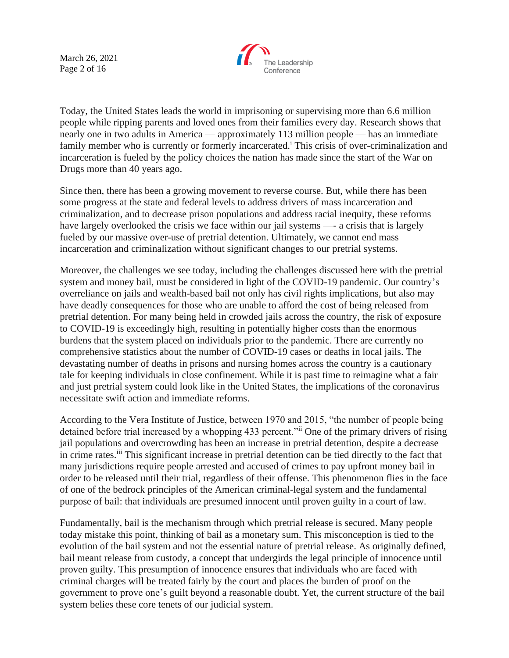March 26, 2021 Page 2 of 16



Today, the United States leads the world in imprisoning or supervising more than 6.6 million people while ripping parents and loved ones from their families every day. Research shows that nearly one in two adults in America — approximately 113 million people — has an immediate family member who is currently or formerly incarcerated.<sup>i</sup> This crisis of over-criminalization and incarceration is fueled by the policy choices the nation has made since the start of the War on Drugs more than 40 years ago.

Since then, there has been a growing movement to reverse course. But, while there has been some progress at the state and federal levels to address drivers of mass incarceration and criminalization, and to decrease prison populations and address racial inequity, these reforms have largely overlooked the crisis we face within our jail systems —- a crisis that is largely fueled by our massive over-use of pretrial detention. Ultimately, we cannot end mass incarceration and criminalization without significant changes to our pretrial systems.

Moreover, the challenges we see today, including the challenges discussed here with the pretrial system and money bail, must be considered in light of the COVID-19 pandemic. Our country's overreliance on jails and wealth-based bail not only has civil rights implications, but also may have deadly consequences for those who are unable to afford the cost of being released from pretrial detention. For many being held in crowded jails across the country, the risk of exposure to COVID-19 is exceedingly high, resulting in potentially higher costs than the enormous burdens that the system placed on individuals prior to the pandemic. There are currently no comprehensive statistics about the number of COVID-19 cases or deaths in local jails. The devastating number of deaths in prisons and nursing homes across the country is a cautionary tale for keeping individuals in close confinement. While it is past time to reimagine what a fair and just pretrial system could look like in the United States, the implications of the coronavirus necessitate swift action and immediate reforms.

According to the Vera Institute of Justice, between 1970 and 2015, "the number of people being detained before trial increased by a whopping 433 percent."<sup>ii</sup> One of the primary drivers of rising jail populations and overcrowding has been an increase in pretrial detention, despite a decrease in crime rates.<sup>iii</sup> This significant increase in pretrial detention can be tied directly to the fact that many jurisdictions require people arrested and accused of crimes to pay upfront money bail in order to be released until their trial, regardless of their offense. This phenomenon flies in the face of one of the bedrock principles of the American criminal-legal system and the fundamental purpose of bail: that individuals are presumed innocent until proven guilty in a court of law.

Fundamentally, bail is the mechanism through which pretrial release is secured. Many people today mistake this point, thinking of bail as a monetary sum. This misconception is tied to the evolution of the bail system and not the essential nature of pretrial release. As originally defined, bail meant release from custody, a concept that undergirds the legal principle of innocence until proven guilty. This presumption of innocence ensures that individuals who are faced with criminal charges will be treated fairly by the court and places the burden of proof on the government to prove one's guilt beyond a reasonable doubt. Yet, the current structure of the bail system belies these core tenets of our judicial system.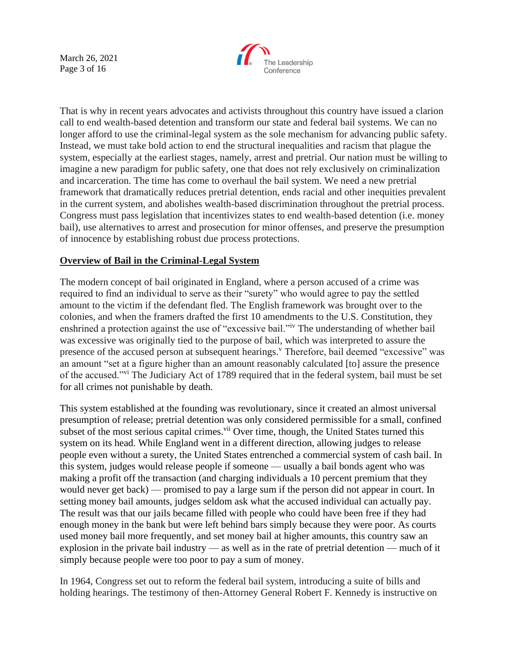March 26, 2021 Page 3 of 16



That is why in recent years advocates and activists throughout this country have issued a clarion call to end wealth-based detention and transform our state and federal bail systems. We can no longer afford to use the criminal-legal system as the sole mechanism for advancing public safety. Instead, we must take bold action to end the structural inequalities and racism that plague the system, especially at the earliest stages, namely, arrest and pretrial. Our nation must be willing to imagine a new paradigm for public safety, one that does not rely exclusively on criminalization and incarceration. The time has come to overhaul the bail system. We need a new pretrial framework that dramatically reduces pretrial detention, ends racial and other inequities prevalent in the current system, and abolishes wealth-based discrimination throughout the pretrial process. Congress must pass legislation that incentivizes states to end wealth-based detention (i.e. money bail), use alternatives to arrest and prosecution for minor offenses, and preserve the presumption of innocence by establishing robust due process protections.

### **Overview of Bail in the Criminal-Legal System**

The modern concept of bail originated in England, where a person accused of a crime was required to find an individual to serve as their "surety" who would agree to pay the settled amount to the victim if the defendant fled. The English framework was brought over to the colonies, and when the framers drafted the first 10 amendments to the U.S. Constitution, they enshrined a protection against the use of "excessive bail."iv The understanding of whether bail was excessive was originally tied to the purpose of bail, which was interpreted to assure the presence of the accused person at subsequent hearings.<sup>v</sup> Therefore, bail deemed "excessive" was an amount "set at a figure higher than an amount reasonably calculated [to] assure the presence of the accused."vi The Judiciary Act of 1789 required that in the federal system, bail must be set for all crimes not punishable by death.

This system established at the founding was revolutionary, since it created an almost universal presumption of release; pretrial detention was only considered permissible for a small, confined subset of the most serious capital crimes.<sup>vii</sup> Over time, though, the United States turned this system on its head. While England went in a different direction, allowing judges to release people even without a surety, the United States entrenched a commercial system of cash bail. In this system, judges would release people if someone — usually a bail bonds agent who was making a profit off the transaction (and charging individuals a 10 percent premium that they would never get back) — promised to pay a large sum if the person did not appear in court. In setting money bail amounts, judges seldom ask what the accused individual can actually pay. The result was that our jails became filled with people who could have been free if they had enough money in the bank but were left behind bars simply because they were poor. As courts used money bail more frequently, and set money bail at higher amounts, this country saw an explosion in the private bail industry — as well as in the rate of pretrial detention — much of it simply because people were too poor to pay a sum of money.

In 1964, Congress set out to reform the federal bail system, introducing a suite of bills and holding hearings. The testimony of then-Attorney General Robert F. Kennedy is instructive on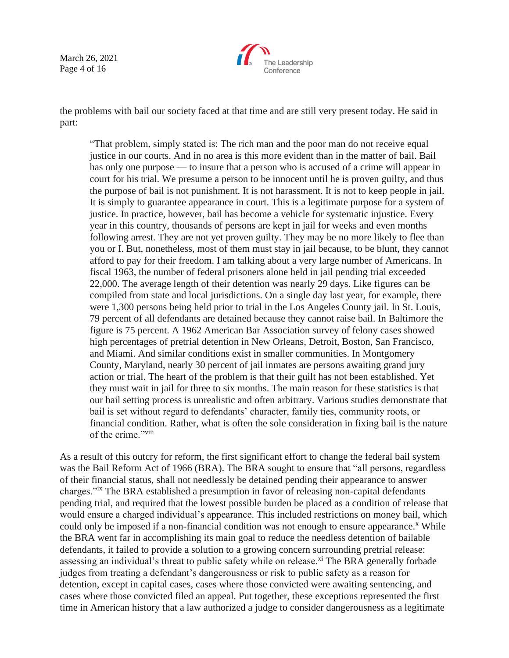March 26, 2021 Page 4 of 16



the problems with bail our society faced at that time and are still very present today. He said in part:

"That problem, simply stated is: The rich man and the poor man do not receive equal justice in our courts. And in no area is this more evident than in the matter of bail. Bail has only one purpose — to insure that a person who is accused of a crime will appear in court for his trial. We presume a person to be innocent until he is proven guilty, and thus the purpose of bail is not punishment. It is not harassment. It is not to keep people in jail. It is simply to guarantee appearance in court. This is a legitimate purpose for a system of justice. In practice, however, bail has become a vehicle for systematic injustice. Every year in this country, thousands of persons are kept in jail for weeks and even months following arrest. They are not yet proven guilty. They may be no more likely to flee than you or I. But, nonetheless, most of them must stay in jail because, to be blunt, they cannot afford to pay for their freedom. I am talking about a very large number of Americans. In fiscal 1963, the number of federal prisoners alone held in jail pending trial exceeded 22,000. The average length of their detention was nearly 29 days. Like figures can be compiled from state and local jurisdictions. On a single day last year, for example, there were 1,300 persons being held prior to trial in the Los Angeles County jail. In St. Louis, 79 percent of all defendants are detained because they cannot raise bail. In Baltimore the figure is 75 percent. A 1962 American Bar Association survey of felony cases showed high percentages of pretrial detention in New Orleans, Detroit, Boston, San Francisco, and Miami. And similar conditions exist in smaller communities. In Montgomery County, Maryland, nearly 30 percent of jail inmates are persons awaiting grand jury action or trial. The heart of the problem is that their guilt has not been established. Yet they must wait in jail for three to six months. The main reason for these statistics is that our bail setting process is unrealistic and often arbitrary. Various studies demonstrate that bail is set without regard to defendants' character, family ties, community roots, or financial condition. Rather, what is often the sole consideration in fixing bail is the nature of the crime."<sup>viii</sup>

As a result of this outcry for reform, the first significant effort to change the federal bail system was the Bail Reform Act of 1966 (BRA). The BRA sought to ensure that "all persons, regardless of their financial status, shall not needlessly be detained pending their appearance to answer charges."ix The BRA established a presumption in favor of releasing non-capital defendants pending trial, and required that the lowest possible burden be placed as a condition of release that would ensure a charged individual's appearance. This included restrictions on money bail, which could only be imposed if a non-financial condition was not enough to ensure appearance.<sup>x</sup> While the BRA went far in accomplishing its main goal to reduce the needless detention of bailable defendants, it failed to provide a solution to a growing concern surrounding pretrial release: assessing an individual's threat to public safety while on release.<sup>xi</sup> The BRA generally forbade judges from treating a defendant's dangerousness or risk to public safety as a reason for detention, except in capital cases, cases where those convicted were awaiting sentencing, and cases where those convicted filed an appeal. Put together, these exceptions represented the first time in American history that a law authorized a judge to consider dangerousness as a legitimate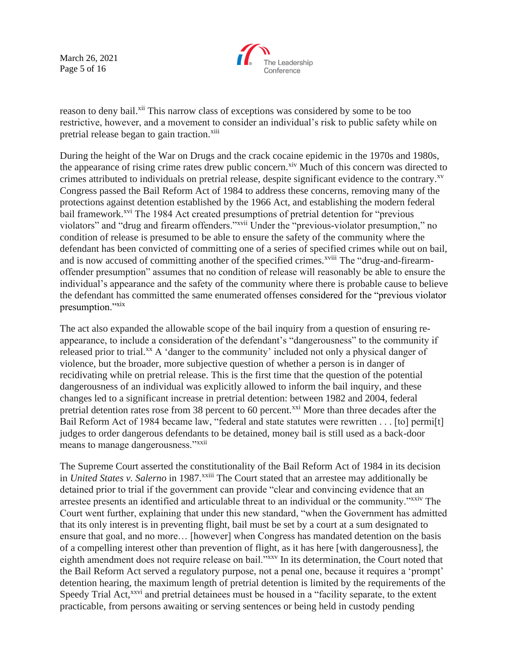March 26, 2021 Page 5 of 16



reason to deny bail.<sup>xii</sup> This narrow class of exceptions was considered by some to be too restrictive, however, and a movement to consider an individual's risk to public safety while on pretrial release began to gain traction.<sup>xiii</sup>

During the height of the War on Drugs and the crack cocaine epidemic in the 1970s and 1980s, the appearance of rising crime rates drew public concern.<sup>xiv</sup> Much of this concern was directed to crimes attributed to individuals on pretrial release, despite significant evidence to the contrary.<sup>xv</sup> Congress passed the Bail Reform Act of 1984 to address these concerns, removing many of the protections against detention established by the 1966 Act, and establishing the modern federal bail framework.<sup>xvi</sup> The 1984 Act created presumptions of pretrial detention for "previous violators" and "drug and firearm offenders."xvii Under the "previous-violator presumption," no condition of release is presumed to be able to ensure the safety of the community where the defendant has been convicted of committing one of a series of specified crimes while out on bail, and is now accused of committing another of the specified crimes.<sup>xviii</sup> The "drug-and-firearmoffender presumption" assumes that no condition of release will reasonably be able to ensure the individual's appearance and the safety of the community where there is probable cause to believe the defendant has committed the same enumerated offenses considered for the "previous violator presumption."xix

The act also expanded the allowable scope of the bail inquiry from a question of ensuring reappearance, to include a consideration of the defendant's "dangerousness" to the community if released prior to trial.<sup>xx</sup> A 'danger to the community' included not only a physical danger of violence, but the broader, more subjective question of whether a person is in danger of recidivating while on pretrial release. This is the first time that the question of the potential dangerousness of an individual was explicitly allowed to inform the bail inquiry, and these changes led to a significant increase in pretrial detention: between 1982 and 2004, federal pretrial detention rates rose from 38 percent to 60 percent.<sup>xxi</sup> More than three decades after the Bail Reform Act of 1984 became law, "federal and state statutes were rewritten . . . [to] permi[t] judges to order dangerous defendants to be detained, money bail is still used as a back-door means to manage dangerousness."<sup>xxii</sup>

The Supreme Court asserted the constitutionality of the Bail Reform Act of 1984 in its decision in *United States v. Salerno* in 1987.<sup>xxiii</sup> The Court stated that an arrestee may additionally be detained prior to trial if the government can provide "clear and convincing evidence that an arrestee presents an identified and articulable threat to an individual or the community."xxiv The Court went further, explaining that under this new standard, "when the Government has admitted that its only interest is in preventing flight, bail must be set by a court at a sum designated to ensure that goal, and no more… [however] when Congress has mandated detention on the basis of a compelling interest other than prevention of flight, as it has here [with dangerousness], the eighth amendment does not require release on bail."xxv In its determination, the Court noted that the Bail Reform Act served a regulatory purpose, not a penal one, because it requires a 'prompt' detention hearing, the maximum length of pretrial detention is limited by the requirements of the Speedy Trial Act,<sup>xxvi</sup> and pretrial detainees must be housed in a "facility separate, to the extent practicable, from persons awaiting or serving sentences or being held in custody pending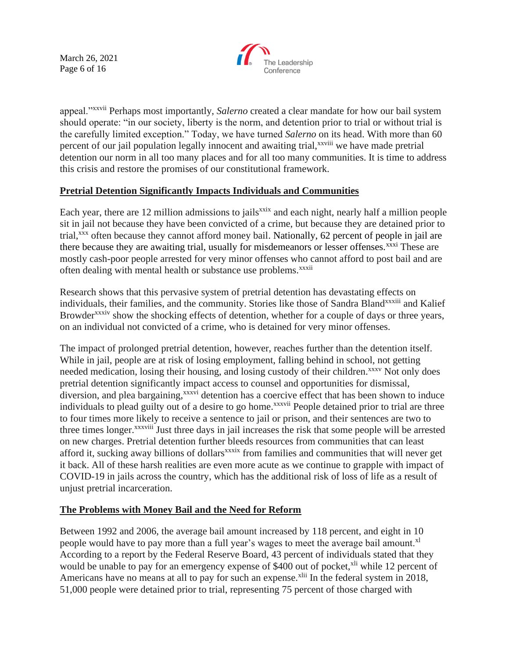March 26, 2021 Page 6 of 16



appeal."xxvii Perhaps most importantly, *Salerno* created a clear mandate for how our bail system should operate: "in our society, liberty is the norm, and detention prior to trial or without trial is the carefully limited exception." Today, we have turned *Salerno* on its head. With more than 60 percent of our jail population legally innocent and awaiting trial,<sup>xxviii</sup> we have made pretrial detention our norm in all too many places and for all too many communities. It is time to address this crisis and restore the promises of our constitutional framework.

# **Pretrial Detention Significantly Impacts Individuals and Communities**

Each year, there are 12 million admissions to jails<sup>xxix</sup> and each night, nearly half a million people sit in jail not because they have been convicted of a crime, but because they are detained prior to trial,<sup>xxx</sup> often because they cannot afford money bail. Nationally, 62 percent of people in jail are there because they are awaiting trial, usually for misdemeanors or lesser offenses.<sup>xxxi</sup> These are mostly cash-poor people arrested for very minor offenses who cannot afford to post bail and are often dealing with mental health or substance use problems.<sup>xxxii</sup>

Research shows that this pervasive system of pretrial detention has devastating effects on individuals, their families, and the community. Stories like those of Sandra Bland<sup>xxxiii</sup> and Kalief Browder<sup>xxxiv</sup> show the shocking effects of detention, whether for a couple of days or three years, on an individual not convicted of a crime, who is detained for very minor offenses.

The impact of prolonged pretrial detention, however, reaches further than the detention itself. While in jail, people are at risk of losing employment, falling behind in school, not getting needed medication, losing their housing, and losing custody of their children.<sup>xxxv</sup> Not only does pretrial detention significantly impact access to counsel and opportunities for dismissal, diversion, and plea bargaining,<sup>xxxvi</sup> detention has a coercive effect that has been shown to induce individuals to plead guilty out of a desire to go home.<sup>xxxvii</sup> People detained prior to trial are three to four times more likely to receive a sentence to jail or prison, and their sentences are two to three times longer.<sup>xxxviii</sup> Just three days in jail increases the risk that some people will be arrested on new charges. Pretrial detention further bleeds resources from communities that can least afford it, sucking away billions of dollars<sup>xxxix</sup> from families and communities that will never get it back. All of these harsh realities are even more acute as we continue to grapple with impact of COVID-19 in jails across the country, which has the additional risk of loss of life as a result of unjust pretrial incarceration.

# **The Problems with Money Bail and the Need for Reform**

Between 1992 and 2006, the average bail amount increased by 118 percent, and eight in 10 people would have to pay more than a full year's wages to meet the average bail amount.<sup>xl</sup> According to a report by the Federal Reserve Board, 43 percent of individuals stated that they would be unable to pay for an emergency expense of \$400 out of pocket,<sup>xli</sup> while 12 percent of Americans have no means at all to pay for such an expense.<sup>xlii</sup> In the federal system in 2018, 51,000 people were detained prior to trial, representing 75 percent of those charged with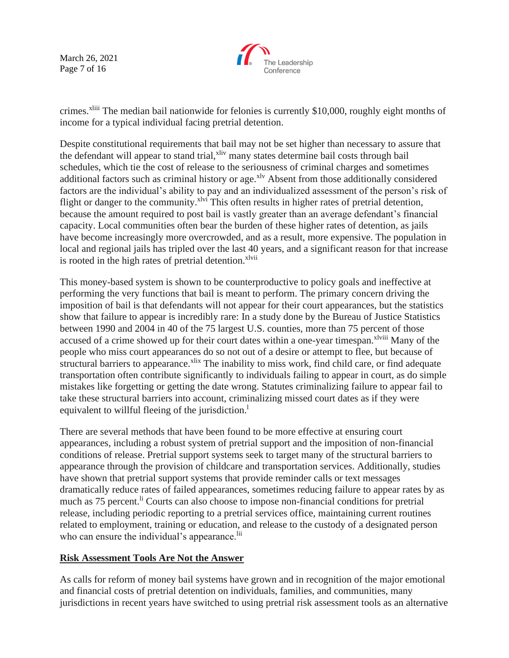March 26, 2021 Page 7 of 16



crimes.<sup>xliii</sup> The median bail nationwide for felonies is currently \$10,000, roughly eight months of income for a typical individual facing pretrial detention.

Despite constitutional requirements that bail may not be set higher than necessary to assure that the defendant will appear to stand trial,<sup>xliv</sup> many states determine bail costs through bail schedules, which tie the cost of release to the seriousness of criminal charges and sometimes additional factors such as criminal history or age.<sup>xlv</sup> Absent from those additionally considered factors are the individual's ability to pay and an individualized assessment of the person's risk of flight or danger to the community.<sup>xlvi</sup> This often results in higher rates of pretrial detention, because the amount required to post bail is vastly greater than an average defendant's financial capacity. Local communities often bear the burden of these higher rates of detention, as jails have become increasingly more overcrowded, and as a result, more expensive. The population in local and regional jails has tripled over the last 40 years, and a significant reason for that increase is rooted in the high rates of pretrial detention.<sup>xlvii</sup>

This money-based system is shown to be counterproductive to policy goals and ineffective at performing the very functions that bail is meant to perform. The primary concern driving the imposition of bail is that defendants will not appear for their court appearances, but the statistics show that failure to appear is incredibly rare: In a study done by the Bureau of Justice Statistics between 1990 and 2004 in 40 of the 75 largest U.S. counties, more than 75 percent of those accused of a crime showed up for their court dates within a one-year timespan.<sup>xlviii</sup> Many of the people who miss court appearances do so not out of a desire or attempt to flee, but because of structural barriers to appearance.<sup>xlix</sup> The inability to miss work, find child care, or find adequate transportation often contribute significantly to individuals failing to appear in court, as do simple mistakes like forgetting or getting the date wrong. Statutes criminalizing failure to appear fail to take these structural barriers into account, criminalizing missed court dates as if they were equivalent to willful fleeing of the jurisdiction.<sup>1</sup>

There are several methods that have been found to be more effective at ensuring court appearances, including a robust system of pretrial support and the imposition of non-financial conditions of release. Pretrial support systems seek to target many of the structural barriers to appearance through the provision of childcare and transportation services. Additionally, studies have shown that pretrial support systems that provide reminder calls or text messages dramatically reduce rates of failed appearances, sometimes reducing failure to appear rates by as much as 75 percent.<sup>li</sup> Courts can also choose to impose non-financial conditions for pretrial release, including periodic reporting to a pretrial services office, maintaining current routines related to employment, training or education, and release to the custody of a designated person who can ensure the individual's appearance.<sup>lii</sup>

# **Risk Assessment Tools Are Not the Answer**

As calls for reform of money bail systems have grown and in recognition of the major emotional and financial costs of pretrial detention on individuals, families, and communities, many jurisdictions in recent years have switched to using pretrial risk assessment tools as an alternative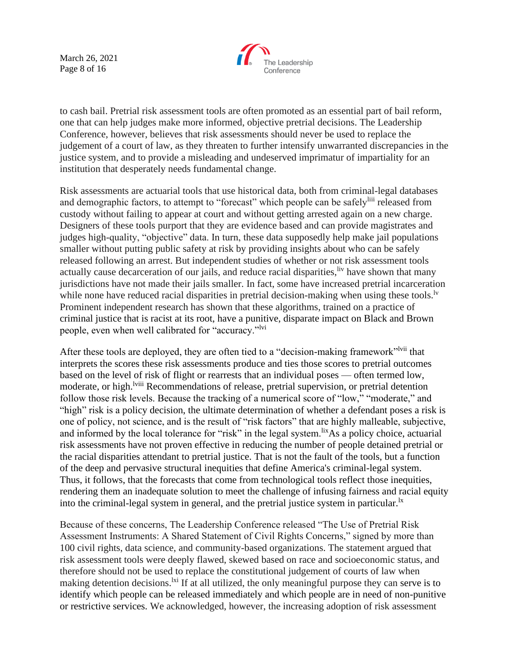March 26, 2021 Page 8 of 16



to cash bail. Pretrial risk assessment tools are often promoted as an essential part of bail reform, one that can help judges make more informed, objective pretrial decisions. The Leadership Conference, however, believes that risk assessments should never be used to replace the judgement of a court of law, as they threaten to further intensify unwarranted discrepancies in the justice system, and to provide a misleading and undeserved imprimatur of impartiality for an institution that desperately needs fundamental change.

Risk assessments are actuarial tools that use historical data, both from criminal-legal databases and demographic factors, to attempt to "forecast" which people can be safely<sup>liii</sup> released from custody without failing to appear at court and without getting arrested again on a new charge. Designers of these tools purport that they are evidence based and can provide magistrates and judges high-quality, "objective" data. In turn, these data supposedly help make jail populations smaller without putting public safety at risk by providing insights about who can be safely released following an arrest. But independent studies of whether or not risk assessment tools actually cause decarceration of our jails, and reduce racial disparities,  $\frac{div}{dx}$  have shown that many jurisdictions have not made their jails smaller. In fact, some have increased pretrial incarceration while none have reduced racial disparities in pretrial decision-making when using these tools.<sup> $l<sub>v</sub>$ </sup> Prominent independent research has shown that these algorithms, trained on a practice of criminal justice that is racist at its root, have a punitive, disparate impact on Black and Brown people, even when well calibrated for "accuracy."<sup>lvi</sup>

After these tools are deployed, they are often tied to a "decision-making framework" that interprets the scores these risk assessments produce and ties those scores to pretrial outcomes based on the level of risk of flight or rearrests that an individual poses — often termed low, moderate, or high.<sup>lviii</sup> Recommendations of release, pretrial supervision, or pretrial detention follow those risk levels. Because the tracking of a numerical score of "low," "moderate," and "high" risk is a policy decision, the ultimate determination of whether a defendant poses a risk is one of policy, not science, and is the result of "risk factors" that are highly malleable, subjective, and informed by the local tolerance for "risk" in the legal system.<sup>lix</sup>As a policy choice, actuarial risk assessments have not proven effective in reducing the number of people detained pretrial or the racial disparities attendant to pretrial justice. That is not the fault of the tools, but a function of the deep and pervasive structural inequities that define America's criminal-legal system. Thus, it follows, that the forecasts that come from technological tools reflect those inequities, rendering them an inadequate solution to meet the challenge of infusing fairness and racial equity into the criminal-legal system in general, and the pretrial justice system in particular.<sup>1x</sup>

Because of these concerns, The Leadership Conference released "The Use of Pretrial Risk Assessment Instruments: A Shared Statement of Civil Rights Concerns," signed by more than 100 civil rights, data science, and community-based organizations. The statement argued that risk assessment tools were deeply flawed, skewed based on race and socioeconomic status, and therefore should not be used to replace the constitutional judgement of courts of law when making detention decisions. <sup>Ixi</sup> If at all utilized, the only meaningful purpose they can serve is to identify which people can be released immediately and which people are in need of non-punitive or restrictive services. We acknowledged, however, the increasing adoption of risk assessment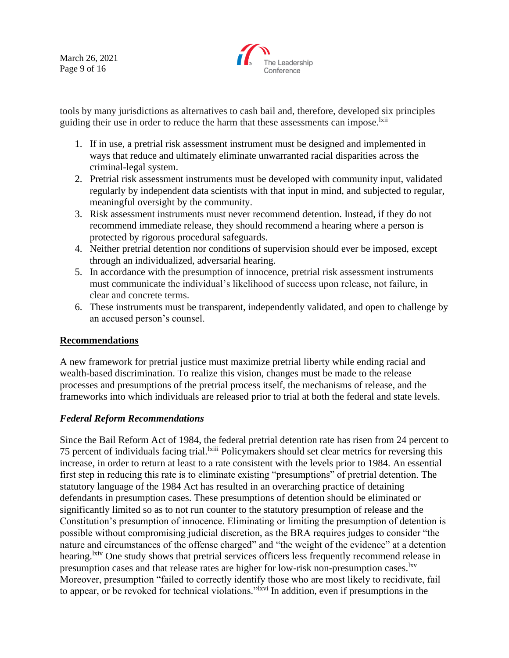March 26, 2021 Page 9 of 16



tools by many jurisdictions as alternatives to cash bail and, therefore, developed six principles guiding their use in order to reduce the harm that these assessments can impose.<sup>1xii</sup>

- 1. If in use, a pretrial risk assessment instrument must be designed and implemented in ways that reduce and ultimately eliminate unwarranted racial disparities across the criminal-legal system.
- 2. Pretrial risk assessment instruments must be developed with community input, validated regularly by independent data scientists with that input in mind, and subjected to regular, meaningful oversight by the community.
- 3. Risk assessment instruments must never recommend detention. Instead, if they do not recommend immediate release, they should recommend a hearing where a person is protected by rigorous procedural safeguards.
- 4. Neither pretrial detention nor conditions of supervision should ever be imposed, except through an individualized, adversarial hearing.
- 5. In accordance with the presumption of innocence, pretrial risk assessment instruments must communicate the individual's likelihood of success upon release, not failure, in clear and concrete terms.
- 6. These instruments must be transparent, independently validated, and open to challenge by an accused person's counsel.

# **Recommendations**

A new framework for pretrial justice must maximize pretrial liberty while ending racial and wealth-based discrimination. To realize this vision, changes must be made to the release processes and presumptions of the pretrial process itself, the mechanisms of release, and the frameworks into which individuals are released prior to trial at both the federal and state levels.

# *Federal Reform Recommendations*

Since the Bail Reform Act of 1984, the federal pretrial detention rate has risen from 24 percent to 75 percent of individuals facing trial.<sup>Ixiii</sup> Policymakers should set clear metrics for reversing this increase, in order to return at least to a rate consistent with the levels prior to 1984. An essential first step in reducing this rate is to eliminate existing "presumptions" of pretrial detention. The statutory language of the 1984 Act has resulted in an overarching practice of detaining defendants in presumption cases. These presumptions of detention should be eliminated or significantly limited so as to not run counter to the statutory presumption of release and the Constitution's presumption of innocence. Eliminating or limiting the presumption of detention is possible without compromising judicial discretion, as the BRA requires judges to consider "the nature and circumstances of the offense charged" and "the weight of the evidence" at a detention hearing.<sup>1xiv</sup> One study shows that pretrial services officers less frequently recommend release in presumption cases and that release rates are higher for low-risk non-presumption cases.<sup>1xv</sup> Moreover, presumption "failed to correctly identify those who are most likely to recidivate, fail to appear, or be revoked for technical violations.<sup>"Ixvi</sup> In addition, even if presumptions in the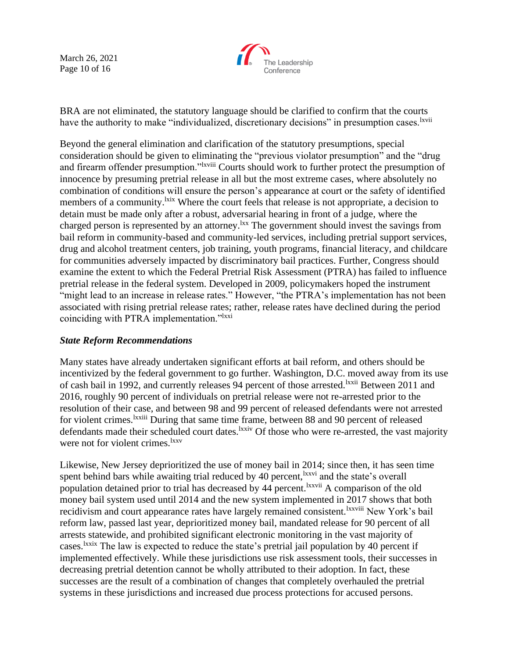March 26, 2021 Page 10 of 16



BRA are not eliminated, the statutory language should be clarified to confirm that the courts have the authority to make "individualized, discretionary decisions" in presumption cases. <sup>Ixvii</sup>

Beyond the general elimination and clarification of the statutory presumptions, special consideration should be given to eliminating the "previous violator presumption" and the "drug and firearm offender presumption."lxviii Courts should work to further protect the presumption of innocence by presuming pretrial release in all but the most extreme cases, where absolutely no combination of conditions will ensure the person's appearance at court or the safety of identified members of a community.<sup>1xix</sup> Where the court feels that release is not appropriate, a decision to detain must be made only after a robust, adversarial hearing in front of a judge, where the charged person is represented by an attorney.<sup>1xx</sup> The government should invest the savings from bail reform in community-based and community-led services, including pretrial support services, drug and alcohol treatment centers, job training, youth programs, financial literacy, and childcare for communities adversely impacted by discriminatory bail practices. Further, Congress should examine the extent to which the Federal Pretrial Risk Assessment (PTRA) has failed to influence pretrial release in the federal system. Developed in 2009, policymakers hoped the instrument "might lead to an increase in release rates." However, "the PTRA's implementation has not been associated with rising pretrial release rates; rather, release rates have declined during the period coinciding with PTRA implementation."<sup>Ixxi</sup>

#### *State Reform Recommendations*

Many states have already undertaken significant efforts at bail reform, and others should be incentivized by the federal government to go further. Washington, D.C. moved away from its use of cash bail in 1992, and currently releases 94 percent of those arrested.<sup>1xxii</sup> Between 2011 and 2016, roughly 90 percent of individuals on pretrial release were not re-arrested prior to the resolution of their case, and between 98 and 99 percent of released defendants were not arrested for violent crimes.<sup>1xxiii</sup> During that same time frame, between 88 and 90 percent of released defendants made their scheduled court dates.<sup>1xxiv</sup> Of those who were re-arrested, the vast majority were not for violent crimes.<sup>lxxv</sup>

Likewise, New Jersey deprioritized the use of money bail in 2014; since then, it has seen time spent behind bars while awaiting trial reduced by 40 percent, <sup>lxxvi</sup> and the state's overall population detained prior to trial has decreased by 44 percent. <sup>Ixxvii</sup> A comparison of the old money bail system used until 2014 and the new system implemented in 2017 shows that both recidivism and court appearance rates have largely remained consistent.<sup>lxxviii</sup> New York's bail reform law, passed last year, deprioritized money bail, mandated release for 90 percent of all arrests statewide, and prohibited significant electronic monitoring in the vast majority of cases.lxxix The law is expected to reduce the state's pretrial jail population by 40 percent if implemented effectively. While these jurisdictions use risk assessment tools, their successes in decreasing pretrial detention cannot be wholly attributed to their adoption. In fact, these successes are the result of a combination of changes that completely overhauled the pretrial systems in these jurisdictions and increased due process protections for accused persons.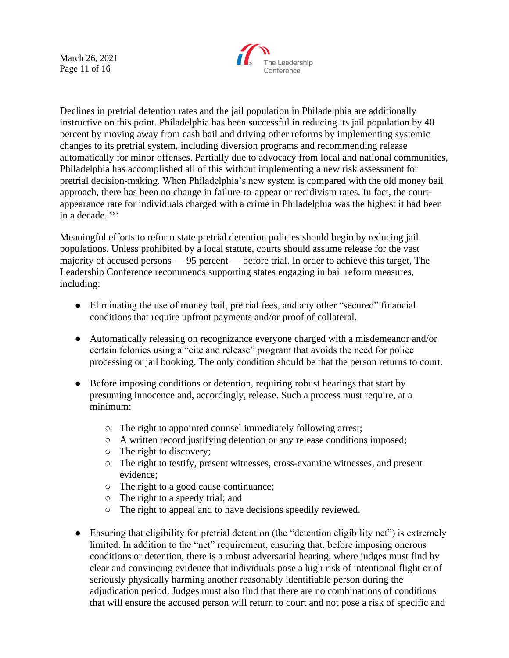March 26, 2021 Page 11 of 16



Declines in pretrial detention rates and the jail population in Philadelphia are additionally instructive on this point. Philadelphia has been successful in reducing its jail population by 40 percent by moving away from cash bail and driving other reforms by implementing systemic changes to its pretrial system, including diversion programs and recommending release automatically for minor offenses. Partially due to advocacy from local and national communities, Philadelphia has accomplished all of this without implementing a new risk assessment for pretrial decision-making. When Philadelphia's new system is compared with the old money bail approach, there has been no change in failure-to-appear or recidivism rates. In fact, the courtappearance rate for individuals charged with a crime in Philadelphia was the highest it had been in a decade. ${}^{lxxx}$ 

Meaningful efforts to reform state pretrial detention policies should begin by reducing jail populations. Unless prohibited by a local statute, courts should assume release for the vast majority of accused persons — 95 percent — before trial. In order to achieve this target, The Leadership Conference recommends supporting states engaging in bail reform measures, including:

- Eliminating the use of money bail, pretrial fees, and any other "secured" financial conditions that require upfront payments and/or proof of collateral.
- Automatically releasing on recognizance everyone charged with a misdemeanor and/or certain felonies using a "cite and release" program that avoids the need for police processing or jail booking. The only condition should be that the person returns to court.
- Before imposing conditions or detention, requiring robust hearings that start by presuming innocence and, accordingly, release. Such a process must require, at a minimum:
	- The right to appointed counsel immediately following arrest;
	- A written record justifying detention or any release conditions imposed;
	- The right to discovery;
	- The right to testify, present witnesses, cross-examine witnesses, and present evidence;
	- The right to a good cause continuance;
	- The right to a speedy trial; and
	- The right to appeal and to have decisions speedily reviewed.
- Ensuring that eligibility for pretrial detention (the "detention eligibility net") is extremely limited. In addition to the "net" requirement, ensuring that, before imposing onerous conditions or detention, there is a robust adversarial hearing, where judges must find by clear and convincing evidence that individuals pose a high risk of intentional flight or of seriously physically harming another reasonably identifiable person during the adjudication period. Judges must also find that there are no combinations of conditions that will ensure the accused person will return to court and not pose a risk of specific and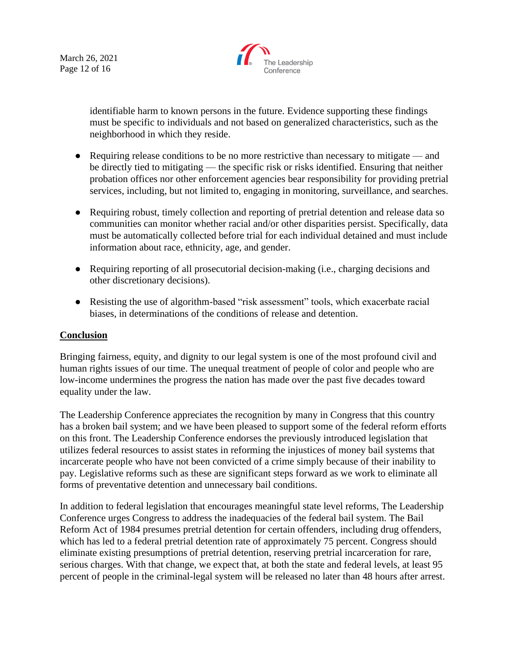March 26, 2021 Page 12 of 16



identifiable harm to known persons in the future. Evidence supporting these findings must be specific to individuals and not based on generalized characteristics, such as the neighborhood in which they reside.

- Requiring release conditions to be no more restrictive than necessary to mitigate and be directly tied to mitigating — the specific risk or risks identified. Ensuring that neither probation offices nor other enforcement agencies bear responsibility for providing pretrial services, including, but not limited to, engaging in monitoring, surveillance, and searches.
- Requiring robust, timely collection and reporting of pretrial detention and release data so communities can monitor whether racial and/or other disparities persist. Specifically, data must be automatically collected before trial for each individual detained and must include information about race, ethnicity, age, and gender.
- Requiring reporting of all prosecutorial decision-making (i.e., charging decisions and other discretionary decisions).
- Resisting the use of algorithm-based "risk assessment" tools, which exacerbate racial biases, in determinations of the conditions of release and detention.

# **Conclusion**

Bringing fairness, equity, and dignity to our legal system is one of the most profound civil and human rights issues of our time. The unequal treatment of people of color and people who are low-income undermines the progress the nation has made over the past five decades toward equality under the law.

The Leadership Conference appreciates the recognition by many in Congress that this country has a broken bail system; and we have been pleased to support some of the federal reform efforts on this front. The Leadership Conference endorses the previously introduced legislation that utilizes federal resources to assist states in reforming the injustices of money bail systems that incarcerate people who have not been convicted of a crime simply because of their inability to pay. Legislative reforms such as these are significant steps forward as we work to eliminate all forms of preventative detention and unnecessary bail conditions.

In addition to federal legislation that encourages meaningful state level reforms, The Leadership Conference urges Congress to address the inadequacies of the federal bail system. The Bail Reform Act of 1984 presumes pretrial detention for certain offenders, including drug offenders, which has led to a federal pretrial detention rate of approximately 75 percent. Congress should eliminate existing presumptions of pretrial detention, reserving pretrial incarceration for rare, serious charges. With that change, we expect that, at both the state and federal levels, at least 95 percent of people in the criminal-legal system will be released no later than 48 hours after arrest.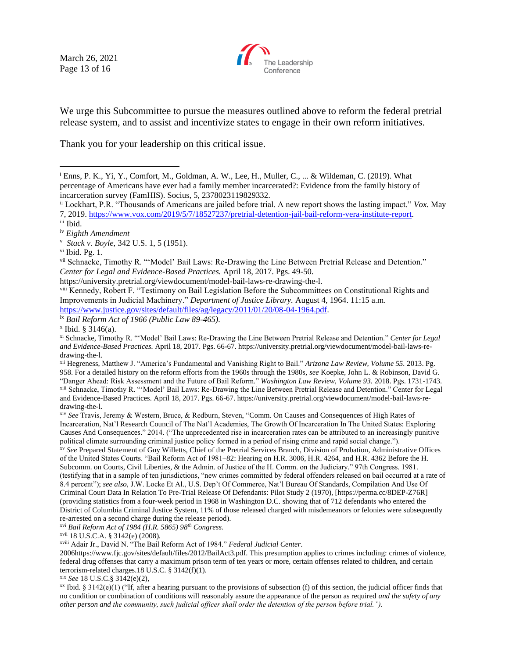March 26, 2021 Page 13 of 16



We urge this Subcommittee to pursue the measures outlined above to reform the federal pretrial release system, and to assist and incentivize states to engage in their own reform initiatives.

Thank you for your leadership on this critical issue.

https://university.pretrial.org/viewdocument/model-bail-laws-re-drawing-the-l.

viii Kennedy, Robert F. "Testimony on Bail Legislation Before the Subcommittees on Constitutional Rights and Improvements in Judicial Machinery." *Department of Justice Library.* August 4, 1964. 11:15 a.m. [https://www.justice.gov/sites/default/files/ag/legacy/2011/01/20/08-04-1964.pdf.](https://www.justice.gov/sites/default/files/ag/legacy/2011/01/20/08-04-1964.pdf)

ix *Bail Reform Act of 1966 (Public Law 89-465).*

xvi *Bail Reform Act of 1984 (H.R. 5865) 98th Congress.*

xvii 18 U.S.C.A. § 3142(e) (2008).

xviii Adair Jr., David N. "The Bail Reform Act of 1984." *Federal Judicial Center*.

2006https://www.fjc.gov/sites/default/files/2012/BailAct3.pdf. This presumption applies to crimes including: crimes of violence, federal drug offenses that carry a maximum prison term of ten years or more, certain offenses related to children, and certain terrorism-related charges.18 U.S.C.  $\S$  3142(f)(1).

<sup>xx</sup> Ibid. § 3142(e)(1) ("If, after a hearing pursuant to the provisions of subsection (f) of this section, the judicial officer finds that no condition or combination of conditions will reasonably assure the appearance of the person as required *and the safety of any other person and the community, such judicial officer shall order the detention of the person before trial.").*

<sup>i</sup> Enns, P. K., Yi, Y., Comfort, M., Goldman, A. W., Lee, H., Muller, C., ... & Wildeman, C. (2019). What percentage of Americans have ever had a family member incarcerated?: Evidence from the family history of incarceration survey (FamHIS). Socius, 5, 2378023119829332.

ii Lockhart, P.R. "Thousands of Americans are jailed before trial. A new report shows the lasting impact." *Vox.* May 7, 2019. [https://www.vox.com/2019/5/7/18527237/pretrial-detention-jail-bail-reform-vera-institute-report.](https://www.vox.com/2019/5/7/18527237/pretrial-detention-jail-bail-reform-vera-institute-report)

iii Ibid.

iv *Eighth Amendment*

<sup>v</sup> *Stack v. Boyle,* 342 U.S. 1, 5 (1951).

vi Ibid*.* Pg. 1.

vii Schnacke, Timothy R. "'Model' Bail Laws: Re-Drawing the Line Between Pretrial Release and Detention." *Center for Legal and Evidence-Based Practices.* April 18, 2017. Pgs. 49-50.

x Ibid. § 3146(a).

xi Schnacke, Timothy R. "'Model' Bail Laws: Re-Drawing the Line Between Pretrial Release and Detention." *Center for Legal and Evidence-Based Practices.* April 18, 2017. Pgs. 66-67. https://university.pretrial.org/viewdocument/model-bail-laws-redrawing-the-l.

xii Hegreness, Matthew J. "America's Fundamental and Vanishing Right to Bail." *Arizona Law Review, Volume 55.* 2013. Pg. 958. For a detailed history on the reform efforts from the 1960s through the 1980s, *see* Koepke, John L. & Robinson, David G. "Danger Ahead: Risk Assessment and the Future of Bail Reform." *Washington Law Review, Volume 93.* 2018. Pgs. 1731-1743. xiii Schnacke, Timothy R. "'Model' Bail Laws: Re-Drawing the Line Between Pretrial Release and Detention." Center for Legal and Evidence-Based Practices. April 18, 2017. Pgs. 66-67. https://university.pretrial.org/viewdocument/model-bail-laws-redrawing-the-l.

xiv *See* Travis, Jeremy & Western, Bruce, & Redburn, Steven, "Comm. On Causes and Consequences of High Rates of Incarceration, Nat'l Research Council of The Nat'l Academies, The Growth Of Incarceration In The United States: Exploring Causes And Consequences." 2014. ("The unprecedented rise in incarceration rates can be attributed to an increasingly punitive political climate surrounding criminal justice policy formed in a period of rising crime and rapid social change.").

xv *See* Prepared Statement of Guy Willetts, Chief of the Pretrial Services Branch, Division of Probation, Administrative Offices of the United States Courts. "Bail Reform Act of 1981–82: Hearing on H.R. 3006, H.R. 4264, and H.R. 4362 Before the H. Subcomm. on Courts, Civil Liberties, & the Admin. of Justice of the H. Comm. on the Judiciary." 97th Congress. 1981. (testifying that in a sample of ten jurisdictions, "new crimes committed by federal offenders released on bail occurred at a rate of 8.4 percent"); *see also,* J.W. Locke Et Al., U.S. Dep't Of Commerce, Nat'l Bureau Of Standards, Compilation And Use Of Criminal Court Data In Relation To Pre-Trial Release Of Defendants: Pilot Study 2 (1970), [https://perma.cc/8DEP-Z76R] (providing statistics from a four-week period in 1968 in Washington D.C. showing that of 712 defendants who entered the District of Columbia Criminal Justice System, 11% of those released charged with misdemeanors or felonies were subsequently re-arrested on a second charge during the release period).

xix *See* 18 U.S.C.§ 3142(e)(2),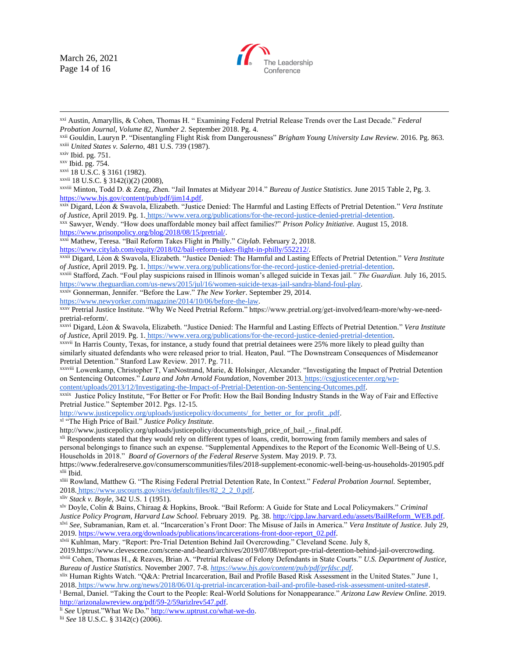March 26, 2021 Page 14 of 16



xxi Austin, Amaryllis, & Cohen, Thomas H. " Examining Federal Pretrial Release Trends over the Last Decade." *Federal Probation Journal, Volume 82, Number 2.* September 2018. Pg. 4.

xxvi 18 U.S.C. § 3161 (1982).

xxvii 18 U.S.C. § 3142(i)(2) (2008),

xxviii Minton, Todd D. & Zeng, Zhen. "Jail Inmates at Midyear 2014." *Bureau of Justice Statistics.* June 2015 Table 2, Pg. 3. [https://www.bjs.gov/content/pub/pdf/jim14.pdf.](https://www.bjs.gov/content/pub/pdf/jim14.pdf)

xxix Digard, Léon & Swavola, Elizabeth. "Justice Denied: The Harmful and Lasting Effects of Pretrial Detention*.*" *Vera Institute of Justice*, April 2019. Pg. 1. [https://www.vera.org/publications/for-the-record-justice-denied-pretrial-detention.](https://www.vera.org/publications/for-the-record-justice-denied-pretrial-detention)

xxx Sawyer, Wendy. "How does unaffordable money bail affect families?" *Prison Policy Initiative.* August 15, 2018. [https://www.prisonpolicy.org/blog/2018/08/15/pretrial/.](https://www.prisonpolicy.org/blog/2018/08/15/pretrial/)

xxxi Mathew, Teresa. "Bail Reform Takes Flight in Philly." *Citylab.* February 2, 2018.

[https://www.citylab.com/equity/2018/02/bail-reform-takes-flight-in-philly/552212/.](https://www.citylab.com/equity/2018/02/bail-reform-takes-flight-in-philly/552212/) 

xxxii Digard, Léon & Swavola, Elizabeth. "Justice Denied: The Harmful and Lasting Effects of Pretrial Detention*.*" *Vera Institute of Justice*, April 2019. Pg. 1. [https://www.vera.org/publications/for-the-record-justice-denied-pretrial-detention.](https://www.vera.org/publications/for-the-record-justice-denied-pretrial-detention)

xxxiii Stafford, Zach. "Foul play suspicions raised in Illinois woman's alleged suicide in Texas jail*." The Guardian.* July 16, 201[5.](https://www.theguardian.com/us-news/2015/jul/16/women-suicide-texas-jail-sandra-bland-foul-play) [https://www.theguardian.com/us-news/2015/jul/16/women-suicide-texas-jail-sandra-bland-foul-play.](https://www.theguardian.com/us-news/2015/jul/16/women-suicide-texas-jail-sandra-bland-foul-play)

xxxiv Gonnerman, Jennifer. "Before the Law." *The New Yorker*. September 29, 201[4.](https://www.newyorker.com/magazine/2014/10/06/before-the-law)

[https://www.newyorker.com/magazine/2014/10/06/before-the-law.](https://www.newyorker.com/magazine/2014/10/06/before-the-law)

xxxv Pretrial Justice Institute. "Why We Need Pretrial Reform." https://www.pretrial.org/get-involved/learn-more/why-we-needpretrial-reform/.

xxxvi Digard, Léon & Swavola, Elizabeth. "Justice Denied: The Harmful and Lasting Effects of Pretrial Detention*.*" *Vera Institute of Justice*, April 2019. Pg. 1. [https://www.vera.org/publications/for-the-record-justice-denied-pretrial-detention.](https://www.vera.org/publications/for-the-record-justice-denied-pretrial-detention)

xxxvii In Harris County, Texas, for instance, a study found that pretrial detainees were 25% more likely to plead guilty than similarly situated defendants who were released prior to trial. Heaton, Paul. "The Downstream Consequences of Misdemeanor Pretrial Detention." Stanford Law Review. 2017. Pg. 711.

xxxviii Lowenkamp, Christopher T, VanNostrand, Marie, & Holsinger, Alexander. "Investigating the Impact of Pretrial Detention on Sentencing Outcomes." *Laura and John Arnold Foundation*, November 2013. [https://csgjusticecenter.org/wp](https://csgjusticecenter.org/wp-content/uploads/2013/12/Investigating-the-Impact-of-Pretrial-Detention-on-Sentencing-Outcomes.pdf)[content/uploads/2013/12/Investigating-the-Impact-of-Pretrial-Detention-on-Sentencing-Outcomes.pdf.](https://csgjusticecenter.org/wp-content/uploads/2013/12/Investigating-the-Impact-of-Pretrial-Detention-on-Sentencing-Outcomes.pdf)

xxxix Justice Policy Institute, "For Better or For Profit: How the Bail Bonding Industry Stands in the Way of Fair and Effective Pretrial Justice." September 2012. Pgs. 12-15.

[http://www.justicepolicy.org/uploads/justicepolicy/documents/\\_for\\_better\\_or\\_for\\_profit\\_.pdf.](http://www.justicepolicy.org/uploads/justicepolicy/documents/_for_better_or_for_profit_.pdf)

xl "The High Price of Bail." *Justice Policy Institute.* 

[http://www.justicepolicy.org/uploads/justicepolicy/documents/high\\_price\\_of\\_bail\\_-\\_final.pdf.](http://www.justicepolicy.org/uploads/justicepolicy/documents/high_price_of_bail_-_final.pdf)

xli Respondents stated that they would rely on different types of loans, credit, borrowing from family members and sales of personal belongings to finance such an expense. "Supplemental Appendixes to the Report of the Economic Well-Being of U.S. Households in 2018." *Board of Governors of the Federal Reserve System*. May 2019. P. 73.

<https://www.federalreserve.gov/consumerscommunities/files/2018-supplement-economic-well-being-us-households-201905.pdf> xlii Ibid.

xliii Rowland, Matthew G. "The Rising Federal Pretrial Detention Rate, In Context." *Federal Probation Journal.* September, 2018. [https://www.uscourts.gov/sites/default/files/82\\_2\\_2\\_0.pdf.](https://www.uscourts.gov/sites/default/files/82_2_2_0.pdf)

xliv *Stack v. Boyle*, 342 U.S. 1 (1951).

xlv Doyle, Colin & Bains, Chiraag & Hopkins, Brook. "Bail Reform: A Guide for State and Local Policymakers." *Criminal Justice Policy Program, Harvard Law School.* February 2019. Pg. 38[. http://cjpp.law.harvard.edu/assets/BailReform\\_WEB.pdf.](http://cjpp.law.harvard.edu/assets/BailReform_WEB.pdf) xlvi *See,* Subramanian, Ram et. al. "Incarceration's Front Door: The Misuse of Jails in America." *Vera Institute of Justice.* July 29, 2019[. https://www.vera.org/downloads/publications/incarcerations-front-door-report\\_02.pdf.](https://www.vera.org/downloads/publications/incarcerations-front-door-report_02.pdf)

xlvii Kuhlman, Mary. "Report: Pre-Trial Detention Behind Jail Overcrowding." Cleveland Scene. July 8,

201[9.https://www.clevescene.com/scene-and-heard/archives/2019/07/08/report-pre-trial-detention-behind-jail-overcrowding.](https://www.clevescene.com/scene-and-heard/archives/2019/07/08/report-pre-trial-detention-behind-jail-overcrowding) xlviii Cohen, Thomas H., & Reaves, Brian A. "Pretrial Release of Felony Defendants in State Courts." *U.S. Department of Justice, Bureau of Justice Statistics.* November 2007. 7-8. *<https://www.bjs.gov/content/pub/pdf/prfdsc.pdf>*.

xlix Human Rights Watch. "Q&A: Pretrial Incarceration, Bail and Profile Based Risk Assessment in the United States." June 1, 2018. [https://www.hrw.org/news/2018/06/01/q-pretrial-incarceration-bail-and-profile-based-risk-assessment-united-states#.](https://www.hrw.org/news/2018/06/01/q-pretrial-incarceration-bail-and-profile-based-risk-assessment-united-states)

<sup>l</sup> Bernal, Daniel. "Taking the Court to the People: Real-World Solutions for Nonappearance." *Arizona Law Review Online.* 2019. [http://arizonalawreview.org/pdf/59-2/59arizlrev547.pdf.](http://arizonalawreview.org/pdf/59-2/59arizlrev547.pdf)

li *See* Uptrust."What We Do.[" http://www.uptrust.co/what-we-do.](http://www.uptrust.co/what-we-do)

lii *See* 18 U.S.C. § 3142(c) (2006).

xxii Gouldin, Lauryn P. "Disentangling Flight Risk from Dangerousness" *Brigham Young University Law Review.* 2016. Pg. 863. xxiii *United States v. Salerno,* 481 U.S. 739 (1987).

xxiv Ibid. pg. 751.

xxv Ibid. pg. 754.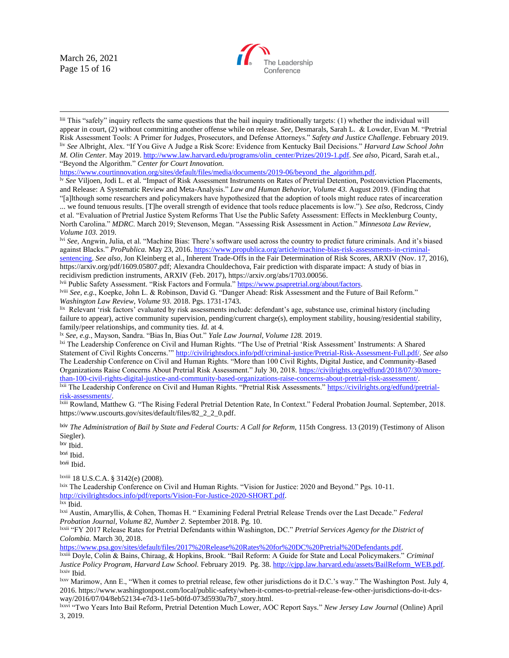March 26, 2021 Page 15 of 16



liii This "safely" inquiry reflects the same questions that the bail inquiry traditionally targets: (1) whether the individual will appear in court, (2) without committing another offense while on release. *See*, Desmarals, Sarah L. & Lowder, Evan M. "Pretrial Risk Assessment Tools: A Primer for Judges, Prosecutors, and Defense Attorneys." *Safety and Justice Challenge*. February 2019. liv *See* Albright, Alex. "If You Give A Judge a Risk Score: Evidence from Kentucky Bail Decisions." *Harvard Law School John M. Olin Center.* May 2019[. http://www.law.harvard.edu/programs/olin\\_center/Prizes/2019-1.pdf.](http://www.law.harvard.edu/programs/olin_center/Prizes/2019-1.pdf) *See also,* Picard, Sarah et.al., "Beyond the Algorithm." *Center for Court Innovation.* 

[https://www.courtinnovation.org/sites/default/files/media/documents/2019-06/beyond\\_the\\_algorithm.pdf.](https://www.courtinnovation.org/sites/default/files/media/documents/2019-06/beyond_the_algorithm.pdf)

lv *See* Viljoen, Jodi L. et al. "Impact of Risk Assessment Instruments on Rates of Pretrial Detention, Postconviction Placements, and Release: A Systematic Review and Meta-Analysis." *Law and Human Behavior, Volume 43.* August 2019. (Finding that "[a]lthough some researchers and policymakers have hypothesized that the adoption of tools might reduce rates of incarceration

... we found tenuous results. [T]he overall strength of evidence that tools reduce placements is low."). *See also,* Redcross, Cindy et al. "Evaluation of Pretrial Justice System Reforms That Use the Public Safety Assessment: Effects in Mecklenburg County, North Carolina." *MDRC*. March 2019; Stevenson, Megan. "Assessing Risk Assessment in Action." *Minnesota Law Review, Volume 103.* 2019.

lvi *See,* Angwin, Julia, et al. "Machine Bias: There's software used across the country to predict future criminals. And it's biased against Blacks." *ProPublica.* May 23, 2016[. https://www.propublica.org/article/machine-bias-risk-assessments-in-criminal](https://www.propublica.org/article/machine-bias-risk-assessments-in-criminal-sentencing)[sentencing.](https://www.propublica.org/article/machine-bias-risk-assessments-in-criminal-sentencing) *See also,* Jon Kleinberg et al., Inherent Trade-Offs in the Fair Determination of Risk Scores, ARXIV (Nov. 17, 2016[\),](https://arxiv.org/pdf/1609.05807.pdf) [https://arxiv.org/pdf/1609.05807.pdf;](https://arxiv.org/pdf/1609.05807.pdf) Alexandra Chouldechova, Fair prediction with disparate impact: A study of bias in recidivism prediction instruments, ARXIV (Feb. 2017[\),](https://arxiv.org/abs/1703.00056) [https://arxiv.org/abs/1703.00056.](https://arxiv.org/abs/1703.00056)

lvii Public Safety Assessment. "Risk Factors and Formula." [https://www.psapretrial.org/about/factors.](https://www.psapretrial.org/about/factors)

lviii *See, e.g.*, Koepke, John L. & Robinson, David G. "Danger Ahead: Risk Assessment and the Future of Bail Reform." *Washington Law Review, Volume 93.* 2018. Pgs. 1731-1743.

lix Relevant 'risk factors' evaluated by risk assessments include: defendant's age, substance use, criminal history (including failure to appear), active community supervision, pending/current charge(s), employment stability, housing/residential stability, family/peer relationships, and community ties. *Id.* at 4.

lx *See, e.g.*, Mayson, Sandra. "Bias In, Bias Out." *Yale Law Journal, Volume 128.* 2019.

lxi The Leadership Conference on Civil and Human Rights. "The Use of Pretrial 'Risk Assessment' Instruments: A Shared Statement of Civil Rights Concerns.'[" http://civilrightsdocs.info/pdf/criminal-justice/Pretrial-Risk-Assessment-Full.pdf/.](http://civilrightsdocs.info/pdf/criminal-justice/Pretrial-Risk-Assessment-Full.pdf/) *See also* The Leadership Conference on Civil and Human Rights. "More than 100 Civil Rights, Digital Justice, and Community-Based Organizations Raise Concerns About Pretrial Risk Assessment." July 30, 2018[. https://civilrights.org/edfund/2018/07/30/more](https://civilrights.org/edfund/2018/07/30/more-than-100-civil-rights-digital-justice-and-community-based-organizations-raise-concerns-about-pretrial-risk-assessment/)[than-100-civil-rights-digital-justice-and-community-based-organizations-raise-concerns-about-pretrial-risk-assessment/.](https://civilrights.org/edfund/2018/07/30/more-than-100-civil-rights-digital-justice-and-community-based-organizations-raise-concerns-about-pretrial-risk-assessment/) lxii The Leadership Conference on Civil and Human Rights. "Pretrial Risk Assessments." [https://civilrights.org/edfund/pretrial](https://civilrights.org/edfund/pretrial-risk-assessments/)[risk-assessments/.](https://civilrights.org/edfund/pretrial-risk-assessments/)

lxiii Rowland, Matthew G. "The Rising Federal Pretrial Detention Rate, In Context." Federal Probation Journal. September, 2018[.](https://www.uscourts.gov/sites/default/files/82_2_2_0.pdf) [https://www.uscourts.gov/sites/default/files/82\\_2\\_2\\_0.pdf.](https://www.uscourts.gov/sites/default/files/82_2_2_0.pdf)

lxiv *The Administration of Bail by State and Federal Courts: A Call for Reform*, 115th Congress. 13 (2019) (Testimony of Alison Siegler).

lxv Ibid.

lxvi Ibid.

lxvii Ibid.

lxviii 18 U.S.C.A. § 3142(e) (2008).

lxix The Leadership Conference on Civil and Human Rights. "Vision for Justice: 2020 and Beyond." Pgs. 10-11. [http://civilrightsdocs.info/pdf/reports/Vision-For-Justice-2020-SHORT.pdf.](http://civilrightsdocs.info/pdf/reports/Vision-For-Justice-2020-SHORT.pdf) 

lxx Ibid.

lxxi Austin, Amaryllis, & Cohen, Thomas H. " Examining Federal Pretrial Release Trends over the Last Decade." *Federal Probation Journal, Volume 82, Number 2.* September 2018. Pg. 10.

lxxii "FY 2017 Release Rates for Pretrial Defendants within Washington, DC." *Pretrial Services Agency for the District of Colombia.* March 30, 2018.

[https://www.psa.gov/sites/default/files/2017%20Release%20Rates%20for%20DC%20Pretrial%20Defendants.pdf.](https://www.psa.gov/sites/default/files/2017%20Release%20Rates%20for%20DC%20Pretrial%20Defendants.pdf)

lxxiii Doyle, Colin & Bains, Chiraag, & Hopkins, Brook. "Bail Reform: A Guide for State and Local Policymakers." *Criminal Justice Policy Program, Harvard Law School.* February 2019. Pg. 38[. http://cjpp.law.harvard.edu/assets/BailReform\\_WEB.pdf.](http://cjpp.law.harvard.edu/assets/BailReform_WEB.pdf) lxxiv Ibid.

lxxv Marimow, Ann E., "When it comes to pretrial release, few other jurisdictions do it D.C.'s way." The Washington Post. July 4, 2016[. https://www.washingtonpost.com/local/public-safety/when-it-comes-to-pretrial-release-few-other-jurisdictions-do-it-dcs](https://www.washingtonpost.com/local/public-safety/when-it-comes-to-pretrial-release-few-other-jurisdictions-do-it-dcs-way/2016/07/04/8eb52134-e7d3-11e5-b0fd-073d5930a7b7_story.html)[way/2016/07/04/8eb52134-e7d3-11e5-b0fd-073d5930a7b7\\_story.html.](https://www.washingtonpost.com/local/public-safety/when-it-comes-to-pretrial-release-few-other-jurisdictions-do-it-dcs-way/2016/07/04/8eb52134-e7d3-11e5-b0fd-073d5930a7b7_story.html)

lxxvi "Two Years Into Bail Reform, Pretrial Detention Much Lower, AOC Report Says*.*" *New Jersey Law Journal* (Online) April 3, 2019.